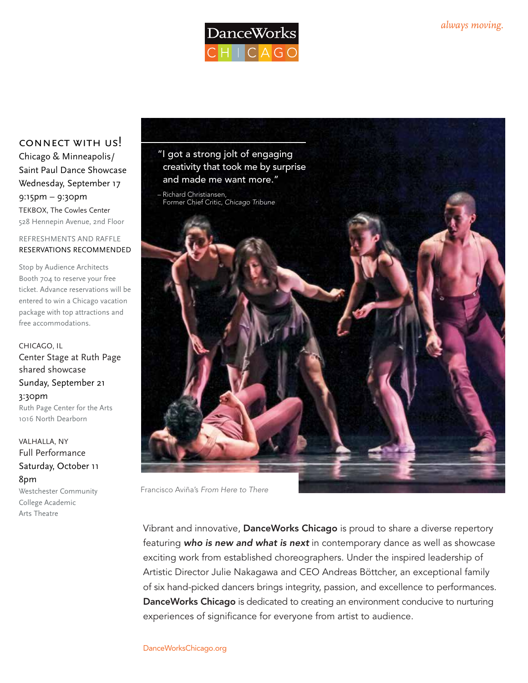

connect with us! Chicago & Minneapolis/ Saint Paul Dance Showcase Wednesday, September 17 9:15pm – 9:30pm TEKBOX, The Cowles Center 528 Hennepin Avenue, 2nd Floor

REFRESHMENTS AND RAFFLE RESERVATIONS RECOMMENDED

Stop by Audience Architects Booth 704 to reserve your free ticket. Advance reservations will be entered to win a Chicago vacation package with top attractions and free accommodations.

CHICAGO, IL Center Stage at Ruth Page shared showcase Sunday, September 21 3:30pm Ruth Page Center for the Arts 1016 North Dearborn

VALHALLA, NY Full Performance Saturday, October 11 8pm Westchester Community College Academic Arts Theatre



Francisco Aviña's *From Here to There*

Vibrant and innovative, DanceWorks Chicago is proud to share a diverse repertory featuring *who is new and what is next* in contemporary dance as well as showcase exciting work from established choreographers. Under the inspired leadership of Artistic Director Julie Nakagawa and CEO Andreas Böttcher, an exceptional family of six hand-picked dancers brings integrity, passion, and excellence to performances. DanceWorks Chicago is dedicated to creating an environment conducive to nurturing experiences of significance for everyone from artist to audience.